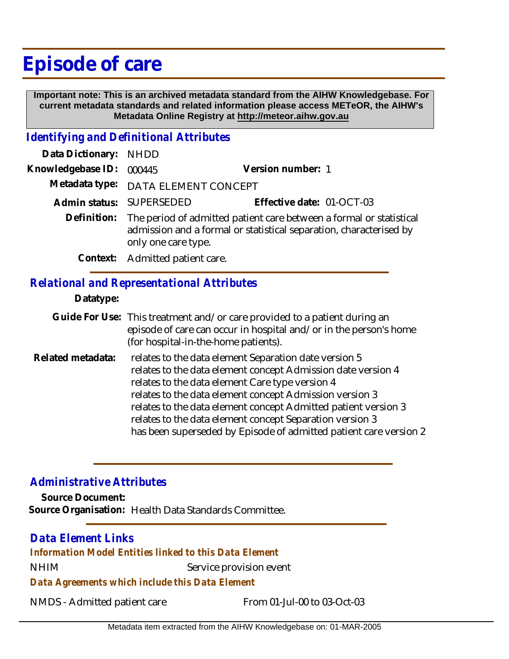# **Episode of care**

 **Important note: This is an archived metadata standard from the AIHW Knowledgebase. For current metadata standards and related information please access METeOR, the AIHW's Metadata Online Registry at http://meteor.aihw.gov.au**

### *Identifying and Definitional Attributes*

| Data Dictionary: NHDD    |                                                                                                                                                                              |                           |
|--------------------------|------------------------------------------------------------------------------------------------------------------------------------------------------------------------------|---------------------------|
| Knowledgebase ID: 000445 |                                                                                                                                                                              | Version number: 1         |
|                          | Metadata type: DATA ELEMENT CONCEPT                                                                                                                                          |                           |
|                          | Admin status: SUPERSEDED                                                                                                                                                     | Effective date: 01-OCT-03 |
|                          | Definition: The period of admitted patient care between a formal or statistical<br>admission and a formal or statistical separation, characterised by<br>only one care type. |                           |
|                          | Context: Admitted patient care.                                                                                                                                              |                           |

## *Relational and Representational Attributes*

#### **Datatype:**

- Guide For Use: This treatment and/or care provided to a patient during an episode of care can occur in hospital and/or in the person's home (for hospital-in-the-home patients).
- relates to the data element Separation date version 5 relates to the data element concept Admission date version 4 relates to the data element Care type version 4 relates to the data element concept Admission version 3 relates to the data element concept Admitted patient version 3 relates to the data element concept Separation version 3 has been superseded by Episode of admitted patient care version 2 **Related metadata:**

## *Administrative Attributes*

**Source Document: Source Organisation:** Health Data Standards Committee.

# *Data Element Links*

NHIM Service provision event *Information Model Entities linked to this Data Element*

*Data Agreements which include this Data Element*

NMDS - Admitted patient care From 01-Jul-00 to 03-Oct-03